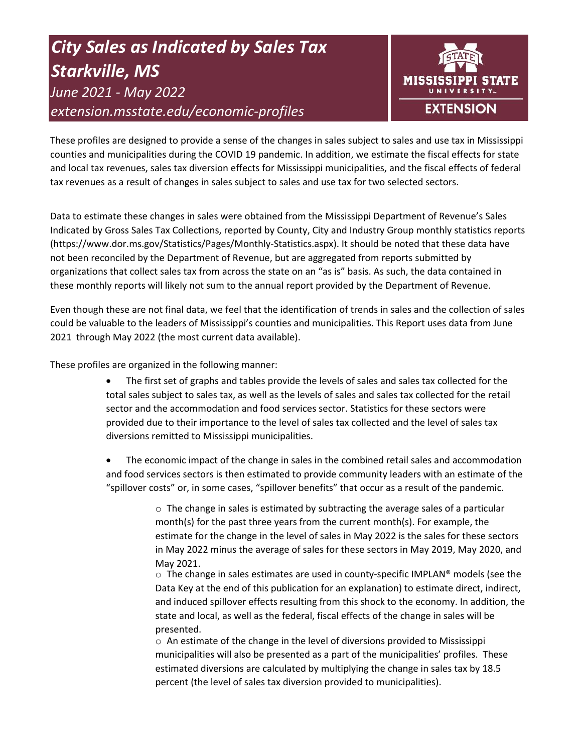# *City Sales as Indicated by Sales Tax Starkville, MS June 2021 - May 2022 extension.msstate.edu/economic-profiles*



These profiles are designed to provide a sense of the changes in sales subject to sales and use tax in Mississippi counties and municipalities during the COVID 19 pandemic. In addition, we estimate the fiscal effects for state and local tax revenues, sales tax diversion effects for Mississippi municipalities, and the fiscal effects of federal tax revenues as a result of changes in sales subject to sales and use tax for two selected sectors.

Data to estimate these changes in sales were obtained from the Mississippi Department of Revenue's Sales Indicated by Gross Sales Tax Collections, reported by County, City and Industry Group monthly statistics reports (https://www.dor.ms.gov/Statistics/Pages/Monthly-Statistics.aspx). It should be noted that these data have not been reconciled by the Department of Revenue, but are aggregated from reports submitted by organizations that collect sales tax from across the state on an "as is" basis. As such, the data contained in these monthly reports will likely not sum to the annual report provided by the Department of Revenue.

Even though these are not final data, we feel that the identification of trends in sales and the collection of sales could be valuable to the leaders of Mississippi's counties and municipalities. This Report uses data from June 2021 through May 2022 (the most current data available).

These profiles are organized in the following manner:

- The first set of graphs and tables provide the levels of sales and sales tax collected for the total sales subject to sales tax, as well as the levels of sales and sales tax collected for the retail sector and the accommodation and food services sector. Statistics for these sectors were provided due to their importance to the level of sales tax collected and the level of sales tax diversions remitted to Mississippi municipalities.
- The economic impact of the change in sales in the combined retail sales and accommodation and food services sectors is then estimated to provide community leaders with an estimate of the "spillover costs" or, in some cases, "spillover benefits" that occur as a result of the pandemic.

 $\circ$  The change in sales is estimated by subtracting the average sales of a particular month(s) for the past three years from the current month(s). For example, the estimate for the change in the level of sales in May 2022 is the sales for these sectors in May 2022 minus the average of sales for these sectors in May 2019, May 2020, and May 2021.

 $\circ$  The change in sales estimates are used in county-specific IMPLAN® models (see the Data Key at the end of this publication for an explanation) to estimate direct, indirect, and induced spillover effects resulting from this shock to the economy. In addition, the state and local, as well as the federal, fiscal effects of the change in sales will be presented.

 $\circ$  An estimate of the change in the level of diversions provided to Mississippi municipalities will also be presented as a part of the municipalities' profiles. These estimated diversions are calculated by multiplying the change in sales tax by 18.5 percent (the level of sales tax diversion provided to municipalities).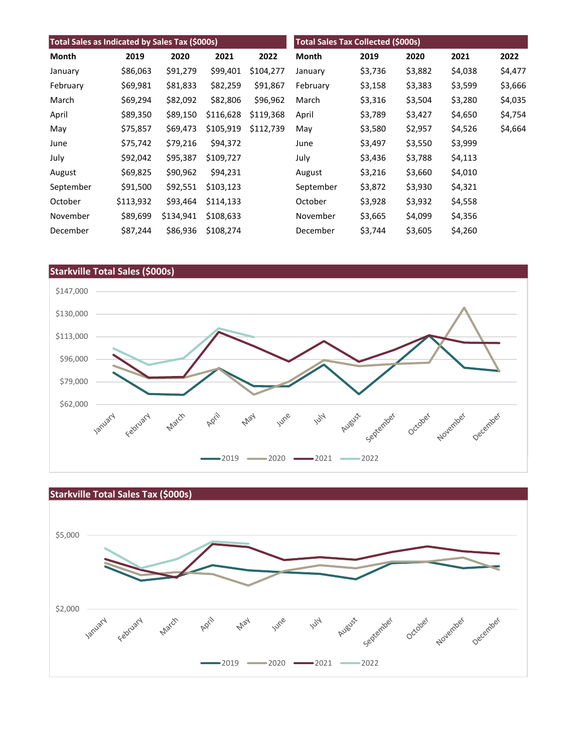| Total Sales as Indicated by Sales Tax (\$000s) |           |           |           | Total Sales Tax Collected (\$000s) |           |         |         |         |         |
|------------------------------------------------|-----------|-----------|-----------|------------------------------------|-----------|---------|---------|---------|---------|
| Month                                          | 2019      | 2020      | 2021      | 2022                               | Month     | 2019    | 2020    | 2021    | 2022    |
| January                                        | \$86,063  | \$91,279  | \$99,401  | \$104,277                          | January   | \$3,736 | \$3,882 | \$4,038 | \$4,477 |
| February                                       | \$69,981  | \$81,833  | \$82,259  | \$91,867                           | February  | \$3,158 | \$3,383 | \$3,599 | \$3,666 |
| March                                          | \$69,294  | \$82,092  | \$82,806  | \$96,962                           | March     | \$3,316 | \$3,504 | \$3,280 | \$4,035 |
| April                                          | \$89,350  | \$89,150  | \$116,628 | \$119,368                          | April     | \$3,789 | \$3,427 | \$4,650 | \$4,754 |
| May                                            | \$75,857  | \$69,473  | \$105,919 | \$112,739                          | May       | \$3,580 | \$2,957 | \$4,526 | \$4,664 |
| June                                           | \$75,742  | \$79,216  | \$94,372  |                                    | June      | \$3,497 | \$3,550 | \$3,999 |         |
| July                                           | \$92,042  | \$95,387  | \$109,727 |                                    | July      | \$3,436 | \$3,788 | \$4,113 |         |
| August                                         | \$69,825  | \$90,962  | \$94,231  |                                    | August    | \$3,216 | \$3,660 | \$4,010 |         |
| September                                      | \$91,500  | \$92,551  | \$103,123 |                                    | September | \$3,872 | \$3,930 | \$4,321 |         |
| October                                        | \$113,932 | \$93,464  | \$114,133 |                                    | October   | \$3,928 | \$3,932 | \$4,558 |         |
| November                                       | \$89,699  | \$134,941 | \$108,633 |                                    | November  | \$3,665 | \$4,099 | \$4,356 |         |
| December                                       | \$87,244  | \$86,936  | \$108,274 |                                    | December  | \$3,744 | \$3,605 | \$4,260 |         |



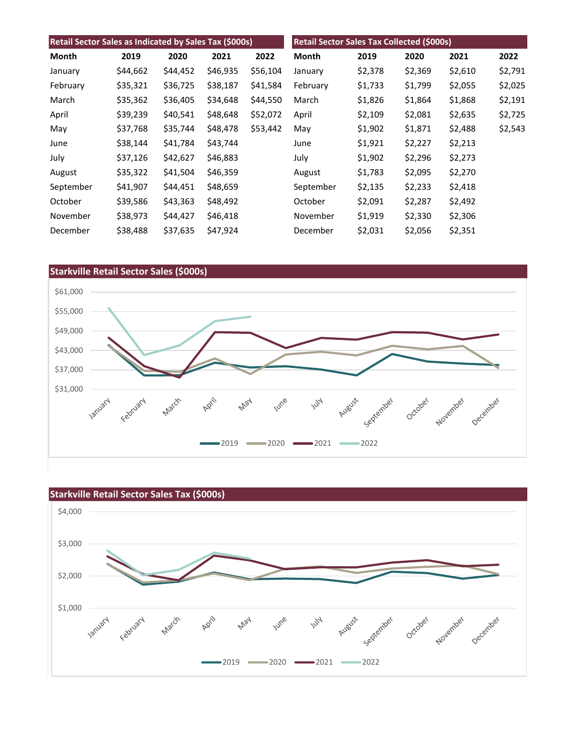| Retail Sector Sales as Indicated by Sales Tax (\$000s) |          |          |          | Retail Sector Sales Tax Collected (\$000s) |                 |         |         |         |         |
|--------------------------------------------------------|----------|----------|----------|--------------------------------------------|-----------------|---------|---------|---------|---------|
| Month                                                  | 2019     | 2020     | 2021     | 2022                                       | Month           | 2019    | 2020    | 2021    | 2022    |
| January                                                | \$44,662 | \$44,452 | \$46,935 | \$56,104                                   | January         | \$2,378 | \$2,369 | \$2,610 | \$2,791 |
| February                                               | \$35,321 | \$36,725 | \$38,187 | \$41,584                                   | February        | \$1,733 | \$1,799 | \$2,055 | \$2,025 |
| March                                                  | \$35,362 | \$36,405 | \$34,648 | \$44,550                                   | March           | \$1,826 | \$1,864 | \$1,868 | \$2,191 |
| April                                                  | \$39,239 | \$40,541 | \$48,648 | \$52,072                                   | April           | \$2,109 | \$2,081 | \$2,635 | \$2,725 |
| May                                                    | \$37,768 | \$35,744 | \$48,478 | \$53,442                                   | May             | \$1,902 | \$1,871 | \$2,488 | \$2,543 |
| June                                                   | \$38,144 | \$41,784 | \$43,744 |                                            | June            | \$1,921 | \$2,227 | \$2,213 |         |
| July                                                   | \$37,126 | \$42,627 | \$46,883 |                                            | July            | \$1,902 | \$2,296 | \$2,273 |         |
| August                                                 | \$35,322 | \$41,504 | \$46,359 |                                            | August          | \$1,783 | \$2,095 | \$2,270 |         |
| September                                              | \$41,907 | \$44,451 | \$48,659 |                                            | September       | \$2,135 | \$2,233 | \$2,418 |         |
| October                                                | \$39,586 | \$43,363 | \$48,492 |                                            | October         | \$2,091 | \$2,287 | \$2,492 |         |
| November                                               | \$38,973 | \$44,427 | \$46,418 |                                            | November        | \$1,919 | \$2,330 | \$2,306 |         |
| December                                               | \$38,488 | \$37,635 | \$47,924 |                                            | <b>December</b> | \$2,031 | \$2,056 | \$2,351 |         |



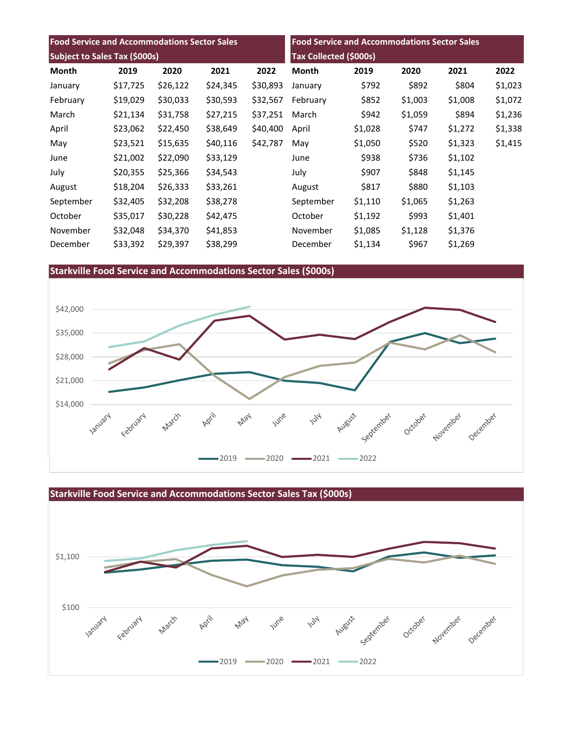| <b>Food Service and Accommodations Sector Sales</b><br>Subject to Sales Tax (\$000s) |          |          |          | <b>Food Service and Accommodations Sector Sales</b><br>Tax Collected (\$000s) |           |         |         |         |         |
|--------------------------------------------------------------------------------------|----------|----------|----------|-------------------------------------------------------------------------------|-----------|---------|---------|---------|---------|
|                                                                                      |          |          |          |                                                                               |           |         |         |         | Month   |
| January                                                                              | \$17,725 | \$26,122 | \$24,345 | \$30,893                                                                      | January   | \$792   | \$892   | \$804   | \$1,023 |
| February                                                                             | \$19,029 | \$30,033 | \$30,593 | \$32,567                                                                      | February  | \$852   | \$1,003 | \$1,008 | \$1,072 |
| March                                                                                | \$21,134 | \$31,758 | \$27,215 | \$37,251                                                                      | March     | \$942   | \$1,059 | \$894   | \$1,236 |
| April                                                                                | \$23,062 | \$22,450 | \$38,649 | \$40,400                                                                      | April     | \$1,028 | \$747   | \$1,272 | \$1,338 |
| May                                                                                  | \$23,521 | \$15,635 | \$40,116 | \$42,787                                                                      | May       | \$1,050 | \$520   | \$1,323 | \$1,415 |
| June                                                                                 | \$21,002 | \$22,090 | \$33,129 |                                                                               | June      | \$938   | \$736   | \$1,102 |         |
| July                                                                                 | \$20,355 | \$25,366 | \$34,543 |                                                                               | July      | \$907   | \$848   | \$1,145 |         |
| August                                                                               | \$18,204 | \$26,333 | \$33,261 |                                                                               | August    | \$817   | \$880   | \$1,103 |         |
| September                                                                            | \$32,405 | \$32,208 | \$38,278 |                                                                               | September | \$1,110 | \$1,065 | \$1,263 |         |
| October                                                                              | \$35,017 | \$30,228 | \$42,475 |                                                                               | October   | \$1,192 | \$993   | \$1,401 |         |
| November                                                                             | \$32,048 | \$34,370 | \$41,853 |                                                                               | November  | \$1,085 | \$1,128 | \$1,376 |         |
| December                                                                             | \$33,392 | \$29,397 | \$38,299 |                                                                               | December  | \$1,134 | \$967   | \$1,269 |         |

# **Starkville Food Service and Accommodations Sector Sales (\$000s)**



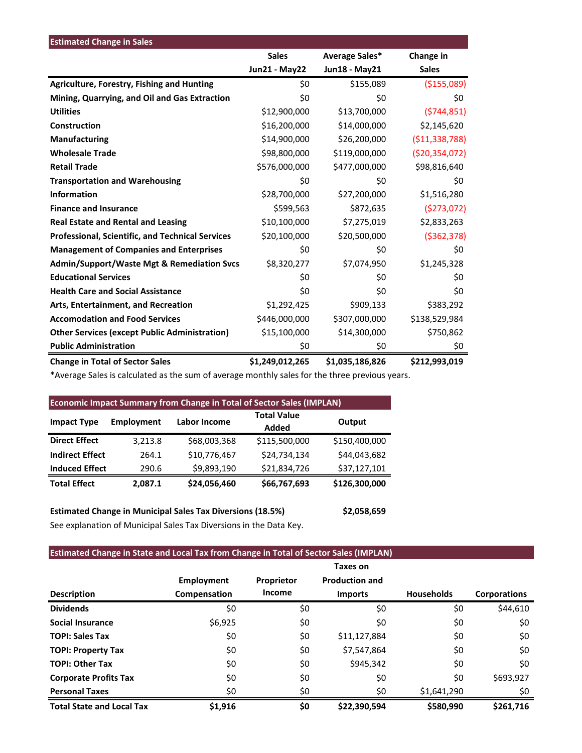| <b>Estimated Change in Sales</b>                      |                      |                 |                   |
|-------------------------------------------------------|----------------------|-----------------|-------------------|
|                                                       | <b>Sales</b>         | Average Sales*  | Change in         |
|                                                       | <b>Jun21 - May22</b> | Jun18 - May21   | <b>Sales</b>      |
| Agriculture, Forestry, Fishing and Hunting            | \$0                  | \$155,089       | ( \$155,089)      |
| Mining, Quarrying, and Oil and Gas Extraction         | \$0                  | \$0             | \$0               |
| <b>Utilities</b>                                      | \$12,900,000         | \$13,700,000    | (5744, 851)       |
| Construction                                          | \$16,200,000         | \$14,000,000    | \$2,145,620       |
| <b>Manufacturing</b>                                  | \$14,900,000         | \$26,200,000    | ( \$11,338,788)   |
| <b>Wholesale Trade</b>                                | \$98,800,000         | \$119,000,000   | ( \$20, 354, 072) |
| <b>Retail Trade</b>                                   | \$576,000,000        | \$477,000,000   | \$98,816,640      |
| <b>Transportation and Warehousing</b>                 | \$0                  | \$0             | \$0               |
| <b>Information</b>                                    | \$28,700,000         | \$27,200,000    | \$1,516,280       |
| <b>Finance and Insurance</b>                          | \$599,563            | \$872,635       | (5273,072)        |
| <b>Real Estate and Rental and Leasing</b>             | \$10,100,000         | \$7,275,019     | \$2,833,263       |
| Professional, Scientific, and Technical Services      | \$20,100,000         | \$20,500,000    | ( \$362, 378)     |
| <b>Management of Companies and Enterprises</b>        | \$0                  | \$0             | \$0               |
| <b>Admin/Support/Waste Mgt &amp; Remediation Svcs</b> | \$8,320,277          | \$7,074,950     | \$1,245,328       |
| <b>Educational Services</b>                           | \$0                  | \$0             | \$0               |
| <b>Health Care and Social Assistance</b>              | \$0                  | \$0             | \$0               |
| Arts, Entertainment, and Recreation                   | \$1,292,425          | \$909,133       | \$383,292         |
| <b>Accomodation and Food Services</b>                 | \$446,000,000        | \$307,000,000   | \$138,529,984     |
| <b>Other Services (except Public Administration)</b>  | \$15,100,000         | \$14,300,000    | \$750,862         |
| <b>Public Administration</b>                          | \$0                  | \$0             | \$0               |
| <b>Change in Total of Sector Sales</b>                | \$1,249,012,265      | \$1,035,186,826 | \$212,993,019     |

\*Average Sales is calculated as the sum of average monthly sales for the three previous years.

| <b>Economic Impact Summary from Change in Total of Sector Sales (IMPLAN)</b> |                   |                     |                             |               |  |  |  |
|------------------------------------------------------------------------------|-------------------|---------------------|-----------------------------|---------------|--|--|--|
| <b>Impact Type</b>                                                           | <b>Employment</b> | <b>Labor Income</b> | <b>Total Value</b><br>Added | Output        |  |  |  |
| <b>Direct Effect</b>                                                         | 3,213.8           | \$68,003,368        | \$115,500,000               | \$150,400,000 |  |  |  |
| <b>Indirect Effect</b>                                                       | 264.1             | \$10,776,467        | \$24.734.134                | \$44,043,682  |  |  |  |
| <b>Induced Effect</b>                                                        | 290.6             | \$9,893,190         | \$21,834,726                | \$37,127,101  |  |  |  |
| <b>Total Effect</b>                                                          | 2,087.1           | \$24,056,460        | \$66,767,693                | \$126,300,000 |  |  |  |

**Estimated Change in Municipal Sales Tax Diversions (18.5%) \$2,058,659** See explanation of Municipal Sales Tax Diversions in the Data Key.

# **Estimated Change in State and Local Tax from Change in Total of Sector Sales (IMPLAN)**

|                                  |                   |               | Taxes on              |                   |                     |
|----------------------------------|-------------------|---------------|-----------------------|-------------------|---------------------|
|                                  | <b>Employment</b> | Proprietor    | <b>Production and</b> |                   |                     |
| <b>Description</b>               | Compensation      | <b>Income</b> | <b>Imports</b>        | <b>Households</b> | <b>Corporations</b> |
| <b>Dividends</b>                 | \$0               | \$0           | \$0                   | \$0               | \$44,610            |
| <b>Social Insurance</b>          | \$6,925           | \$0           | \$0                   | \$0               | \$0                 |
| <b>TOPI: Sales Tax</b>           | \$0               | \$0           | \$11,127,884          | \$0               | \$0                 |
| <b>TOPI: Property Tax</b>        | \$0               | \$0           | \$7,547,864           | \$0               | \$0                 |
| <b>TOPI: Other Tax</b>           | \$0               | \$0           | \$945,342             | \$0               | \$0                 |
| <b>Corporate Profits Tax</b>     | \$0               | \$0           | \$0                   | \$0               | \$693,927           |
| <b>Personal Taxes</b>            | \$0               | \$0           | \$0                   | \$1,641,290       | \$0                 |
| <b>Total State and Local Tax</b> | \$1,916           | \$0           | \$22,390,594          | \$580,990         | \$261.716           |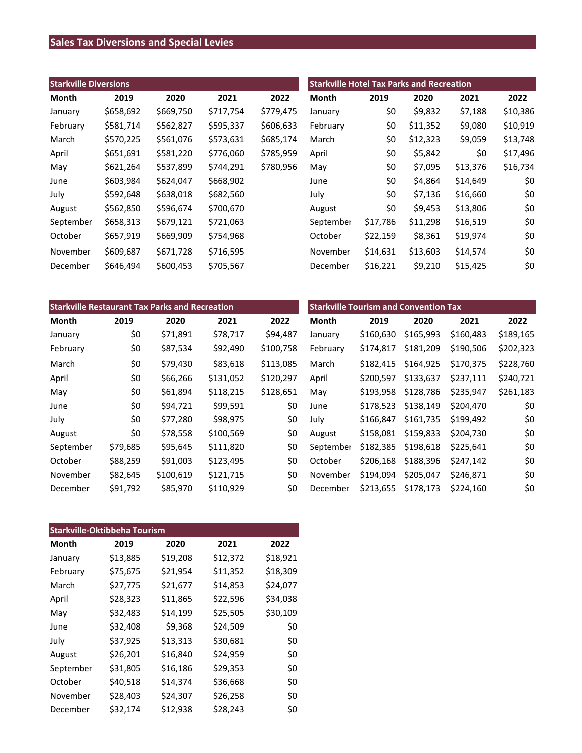# **Sales Tax Diversions and Special Levies**

| <b>Starkville Diversions</b> |           |           |           | <b>Starkville Hotel Tax Parks and Recreation</b> |           |          |          |          |          |
|------------------------------|-----------|-----------|-----------|--------------------------------------------------|-----------|----------|----------|----------|----------|
| Month                        | 2019      | 2020      | 2021      | 2022                                             | Month     | 2019     | 2020     | 2021     | 2022     |
| January                      | \$658,692 | \$669,750 | \$717,754 | \$779,475                                        | January   | \$0      | \$9,832  | \$7,188  | \$10,386 |
| February                     | \$581,714 | \$562,827 | \$595,337 | \$606,633                                        | February  | \$0      | \$11,352 | \$9,080  | \$10,919 |
| March                        | \$570,225 | \$561,076 | \$573,631 | \$685,174                                        | March     | \$0      | \$12,323 | \$9,059  | \$13,748 |
| April                        | \$651,691 | \$581,220 | \$776,060 | \$785,959                                        | April     | \$0      | \$5,842  | \$0      | \$17,496 |
| May                          | \$621,264 | \$537,899 | \$744,291 | \$780,956                                        | May       | \$0      | \$7,095  | \$13,376 | \$16,734 |
| June                         | \$603,984 | \$624,047 | \$668,902 |                                                  | June      | \$0      | \$4,864  | \$14,649 | \$0      |
| July                         | \$592,648 | \$638,018 | \$682,560 |                                                  | July      | \$0      | \$7,136  | \$16,660 | \$0      |
| August                       | \$562,850 | \$596,674 | \$700,670 |                                                  | August    | \$0      | \$9,453  | \$13,806 | \$0      |
| September                    | \$658,313 | \$679,121 | \$721,063 |                                                  | September | \$17,786 | \$11,298 | \$16,519 | \$0      |
| October                      | \$657,919 | \$669,909 | \$754,968 |                                                  | October   | \$22,159 | \$8,361  | \$19,974 | \$0      |
| November                     | \$609,687 | \$671,728 | \$716,595 |                                                  | November  | \$14,631 | \$13,603 | \$14,574 | \$0      |
| December                     | \$646,494 | \$600,453 | \$705,567 |                                                  | December  | \$16,221 | \$9,210  | \$15,425 | \$0      |

| <b>Starkville Restaurant Tax Parks and Recreation</b> |          |           |           | <b>Starkville Tourism and Convention Tax</b> |           |           |           |           |           |
|-------------------------------------------------------|----------|-----------|-----------|----------------------------------------------|-----------|-----------|-----------|-----------|-----------|
| Month                                                 | 2019     | 2020      | 2021      | 2022                                         | Month     | 2019      | 2020      | 2021      | 2022      |
| January                                               | \$0      | \$71,891  | \$78,717  | \$94,487                                     | January   | \$160,630 | \$165,993 | \$160,483 | \$189,165 |
| February                                              | \$0      | \$87,534  | \$92,490  | \$100,758                                    | February  | \$174,817 | \$181,209 | \$190,506 | \$202,323 |
| March                                                 | \$0      | \$79,430  | \$83,618  | \$113,085                                    | March     | \$182,415 | \$164,925 | \$170,375 | \$228,760 |
| April                                                 | \$0      | \$66,266  | \$131,052 | \$120,297                                    | April     | \$200,597 | \$133,637 | \$237,111 | \$240,721 |
| May                                                   | \$0      | \$61,894  | \$118,215 | \$128,651                                    | May       | \$193,958 | \$128,786 | \$235,947 | \$261,183 |
| June                                                  | \$0      | \$94,721  | \$99,591  | \$0                                          | June      | \$178,523 | \$138,149 | \$204,470 | \$0       |
| July                                                  | \$0      | \$77,280  | \$98,975  | \$0                                          | July      | \$166,847 | \$161,735 | \$199,492 | \$0       |
| August                                                | \$0      | \$78,558  | \$100,569 | \$0                                          | August    | \$158,081 | \$159,833 | \$204,730 | \$0       |
| September                                             | \$79,685 | \$95,645  | \$111,820 | \$0                                          | September | \$182,385 | \$198,618 | \$225,641 | \$0       |
| October                                               | \$88,259 | \$91,003  | \$123,495 | \$0                                          | October   | \$206,168 | \$188,396 | \$247,142 | \$0       |
| November                                              | \$82,645 | \$100,619 | \$121,715 | \$0                                          | November  | \$194,094 | \$205,047 | \$246,871 | \$0       |
| December                                              | \$91,792 | \$85,970  | \$110,929 | \$0                                          | December  | \$213,655 | \$178,173 | \$224,160 | \$0       |

| <b>Starkville-Oktibbeha Tourism</b> |          |          |          |          |  |  |  |
|-------------------------------------|----------|----------|----------|----------|--|--|--|
| Month                               | 2019     | 2020     | 2021     | 2022     |  |  |  |
| January                             | \$13,885 | \$19,208 | \$12,372 | \$18,921 |  |  |  |
| February                            | \$75,675 | \$21,954 | \$11,352 | \$18,309 |  |  |  |
| March                               | \$27,775 | \$21,677 | \$14,853 | \$24,077 |  |  |  |
| April                               | \$28,323 | \$11,865 | \$22,596 | \$34,038 |  |  |  |
| May                                 | \$32,483 | \$14,199 | \$25,505 | \$30,109 |  |  |  |
| June                                | \$32,408 | \$9,368  | \$24,509 | \$0      |  |  |  |
| July                                | \$37,925 | \$13,313 | \$30,681 | \$0      |  |  |  |
| August                              | \$26,201 | \$16,840 | \$24,959 | \$0      |  |  |  |
| September                           | \$31,805 | \$16,186 | \$29,353 | \$0      |  |  |  |
| October                             | \$40,518 | \$14,374 | \$36,668 | \$0      |  |  |  |
| November                            | \$28,403 | \$24,307 | \$26,258 | \$0      |  |  |  |
| December                            | \$32,174 | \$12,938 | \$28,243 | \$0      |  |  |  |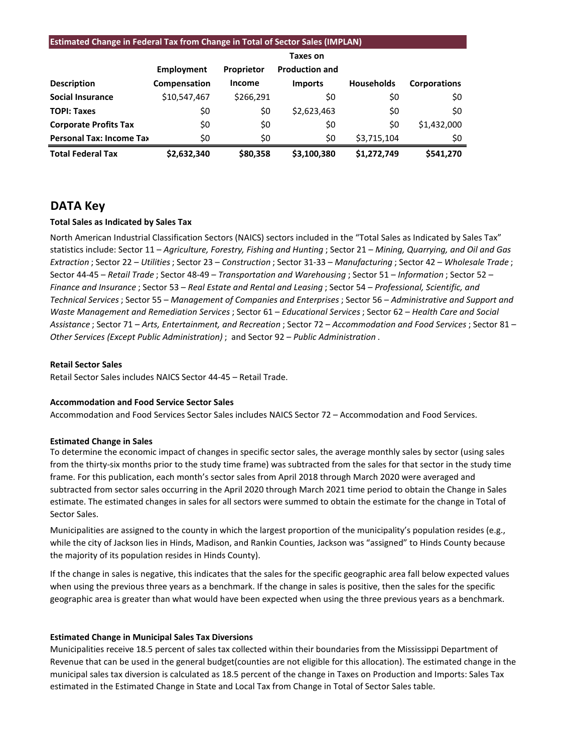#### **Estimated Change in Federal Tax from Change in Total of Sector Sales (IMPLAN)**

|                                 |              |                   | Taxes on              |                   |                     |
|---------------------------------|--------------|-------------------|-----------------------|-------------------|---------------------|
|                                 | Employment   | <b>Proprietor</b> | <b>Production and</b> |                   |                     |
| <b>Description</b>              | Compensation | Income            | <b>Imports</b>        | <b>Households</b> | <b>Corporations</b> |
| <b>Social Insurance</b>         | \$10,547,467 | \$266,291         | \$0                   | \$0               | \$0                 |
| <b>TOPI: Taxes</b>              | \$0          | \$0               | \$2,623,463           | \$0               | \$0                 |
| <b>Corporate Profits Tax</b>    | \$0          | \$0               | \$0                   | \$0               | \$1,432,000         |
| <b>Personal Tax: Income Tax</b> | \$0          | \$0               | \$0                   | \$3,715,104       | \$0                 |
| <b>Total Federal Tax</b>        | \$2,632,340  | \$80,358          | \$3,100,380           | \$1.272.749       | \$541.270           |

### **DATA Key**

#### **Total Sales as Indicated by Sales Tax**

North American Industrial Classification Sectors (NAICS) sectors included in the "Total Sales as Indicated by Sales Tax" statistics include: Sector 11 – *Agriculture, Forestry, Fishing and Hunting* ; Sector 21 – *Mining, Quarrying, and Oil and Gas Extraction* ; Sector 22 – *Utilities*; Sector 23 – *Construction* ; Sector 31-33 – *Manufacturing* ; Sector 42 – *Wholesale Trade* ; Sector 44-45 – *Retail Trade* ; Sector 48-49 – *Transportation and Warehousing* ; Sector 51 – *Information* ; Sector 52 – *Finance and Insurance* ; Sector 53 – *Real Estate and Rental and Leasing* ; Sector 54 – *Professional, Scientific, and Technical Services*; Sector 55 – *Management of Companies and Enterprises* ; Sector 56 – *Administrative and Support and Waste Management and Remediation Services* ; Sector 61 – *Educational Services*; Sector 62 – *Health Care and Social Assistance* ; Sector 71 – *Arts, Entertainment, and Recreation* ; Sector 72 – *Accommodation and Food Services* ; Sector 81 – *Other Services (Except Public Administration)* ; and Sector 92 – *Public Administration* .

#### **Retail Sector Sales**

Retail Sector Sales includes NAICS Sector 44-45 – Retail Trade.

#### **Accommodation and Food Service Sector Sales**

Accommodation and Food Services Sector Sales includes NAICS Sector 72 – Accommodation and Food Services.

#### **Estimated Change in Sales**

To determine the economic impact of changes in specific sector sales, the average monthly sales by sector (using sales from the thirty-six months prior to the study time frame) was subtracted from the sales for that sector in the study time frame. For this publication, each month's sector sales from April 2018 through March 2020 were averaged and subtracted from sector sales occurring in the April 2020 through March 2021 time period to obtain the Change in Sales estimate. The estimated changes in sales for all sectors were summed to obtain the estimate for the change in Total of Sector Sales.

Municipalities are assigned to the county in which the largest proportion of the municipality's population resides (e.g., while the city of Jackson lies in Hinds, Madison, and Rankin Counties, Jackson was "assigned" to Hinds County because the majority of its population resides in Hinds County).

If the change in sales is negative, this indicates that the sales for the specific geographic area fall below expected values when using the previous three years as a benchmark. If the change in sales is positive, then the sales for the specific geographic area is greater than what would have been expected when using the three previous years as a benchmark.

#### **Estimated Change in Municipal Sales Tax Diversions**

Municipalities receive 18.5 percent of sales tax collected within their boundaries from the Mississippi Department of Revenue that can be used in the general budget(counties are not eligible for this allocation). The estimated change in the municipal sales tax diversion is calculated as 18.5 percent of the change in Taxes on Production and Imports: Sales Tax estimated in the Estimated Change in State and Local Tax from Change in Total of Sector Sales table.